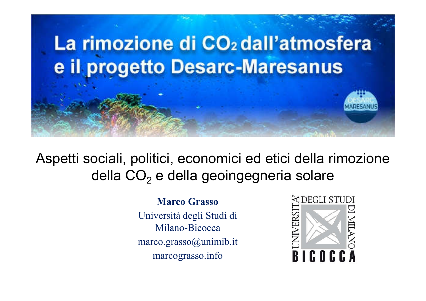

Aspetti sociali, politici, economici ed etici della rimozione della CO<sub>2</sub> e della geoingegneria solare

> Marco Grasso Università degli Studi di Milano-Bicocca marco.grasso@unimib.it marcograsso.info

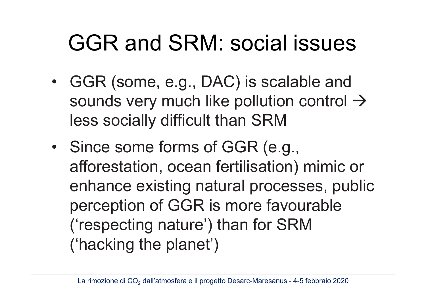#### GGR and SRM: social issues

- GGR (some, e.g., DAC) is scalable and sounds very much like pollution control  $\rightarrow$ less socially difficult than SRM
- Since some forms of GGR (e.g., afforestation, ocean fertilisation) mimic or enhance existing natural processes, public perception of GGR is more favourable ('respecting nature') than for SRM ('hacking the planet')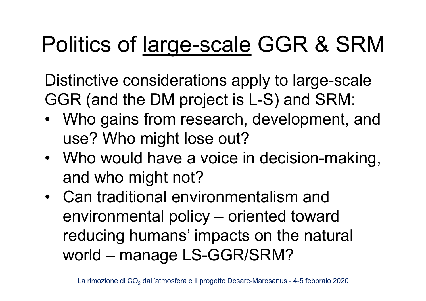## Politics of large-scale GGR & SRM

Distinctive considerations apply to large-scale GGR (and the DM project is L-S) and SRM:

- Who gains from research, development, and use? Who might lose out?
- Who would have a voice in decision-making, and who might not?
- Can traditional environmentalism and environmental policy – oriented toward reducing humans' impacts on the natural world – manage LS-GGR/SRM?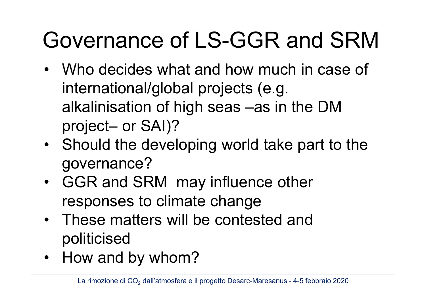# Governance of LS-GGR and SRM

- Who decides what and how much in case of international/global projects (e.g. alkalinisation of high seas –as in the DM project– or SAI)?
- Should the developing world take part to the governance?
- GGR and SRM may influence other responses to climate change
- These matters will be contested and politicised
- How and by whom?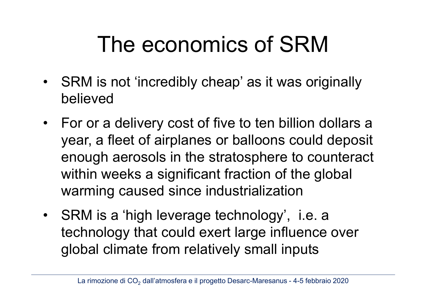### The economics of SRM

- SRM is not 'incredibly cheap' as it was originally believed
- For or a delivery cost of five to ten billion dollars a year, a fleet of airplanes or balloons could deposit enough aerosols in the stratosphere to counteract within weeks a significant fraction of the global warming caused since industrialization
- SRM is a 'high leverage technology', i.e. a technology that could exert large influence over global climate from relatively small inputs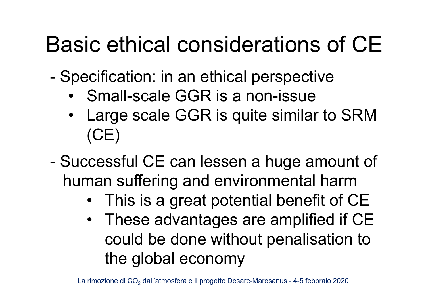### Basic ethical considerations of CE

- Specification: in an ethical perspective

- Small-scale GGR is a non-issue
- Large scale GGR is quite similar to SRM (CE)
- Successful CE can lessen a huge amount of human suffering and environmental harm
	- This is a great potential benefit of CE
	- These advantages are amplified if CE could be done without penalisation to the global economy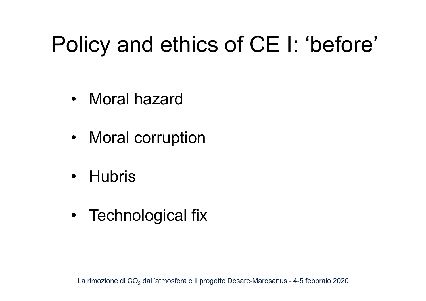### Policy and ethics of CE I: 'before'

- Moral hazard
- Moral corruption
- Hubris
- Technological fix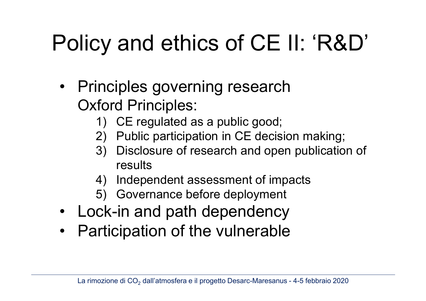# Policy and ethics of CE II: 'R&D'

- Principles governing research Oxford Principles:
	- 1) CE regulated as a public good;
	- 2) Public participation in CE decision making;
	- 3) Disclosure of research and open publication of results
	- 4) Independent assessment of impacts
	- 5) Governance before deployment
- Lock-in and path dependency
- Participation of the vulnerable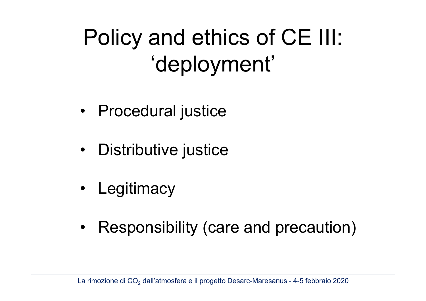## Policy and ethics of CE III: 'deployment'

- Procedural justice
- Distributive justice
- Legitimacy
- Responsibility (care and precaution)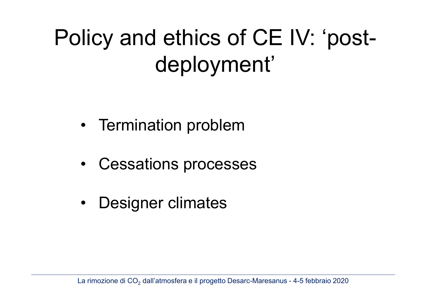# Policy and ethics of CE IV: 'postdeployment'

- Termination problem
- Cessations processes
- Designer climates